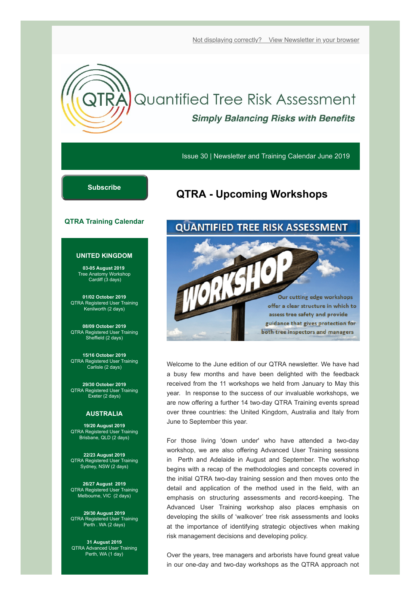[Not displaying correctly? View Newsletter in your browser](https://mailchi.mp/qtra.co.uk/qtra-newsletter-training-calendar-june-2019?e=[UNIQID])

# **Quantified Tree Risk Assessment Simply Balancing Risks with Benefits**

Issue 30 | Newsletter and Training Calendar June 2019

### **[Subscribe](http://eepurl.com/dt-JHn)**

# **QTRA - Upcoming Workshops**

#### **QTRA Training Calendar**

#### **UNITED KINGDOM**

**03-05 August 2019**  Tree Anatomy Workshop Cardiff (3 days)

**01/02 October 2019** QTRA Registered User Training Kenilworth (2 days)

**08/09 October 2019** QTRA Registered User Training Sheffield (2 days)

**15/16 October 2019** QTRA Registered User Training Carlisle (2 days)

**29/30 October 2019** QTRA Registered User Training Exeter (2 days)

#### **AUSTRALIA**

**19/20 August 2019** QTRA Registered User Training Brisbane, QLD (2 days)

**22/23 August 2019** QTRA Registered User Training Sydney, NSW (2 days)

**26/27 August 2019** QTRA Registered User Training Melbourne, VIC (2 days)

**29/30 August 2019** QTRA Registered User Training Perth . WA (2 days)

**31 August 2019** QTRA Advanced User Training Perth, WA (1 day)

### **QUANTIFIED TREE RISK ASSESSMENT**



Welcome to the June edition of our QTRA newsletter. We have had a busy few months and have been delighted with the feedback received from the 11 workshops we held from January to May this year. In response to the success of our invaluable workshops, we are now offering a further 14 two-day QTRA Training events spread over three countries: the United Kingdom, Australia and Italy from June to September this year.

For those living 'down under' who have attended a two-day workshop, we are also offering Advanced User Training sessions in Perth and Adelaide in August and September. The workshop begins with a recap of the methodologies and concepts covered in the initial QTRA two-day training session and then moves onto the detail and application of the method used in the field, with an emphasis on structuring assessments and record-keeping. The Advanced User Training workshop also places emphasis on developing the skills of 'walkover' tree risk assessments and looks at the importance of identifying strategic objectives when making risk management decisions and developing policy.

Over the years, tree managers and arborists have found great value in our one-day and two-day workshops as the QTRA approach not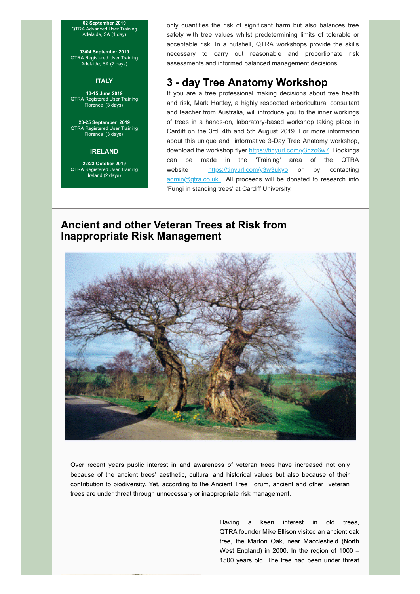**02 September 2019** QTRA Advanced User Training Adelaide, SA (1 day)

**03/04 September 2019** QTRA Registered User Training Adelaide, SA (2 days)

#### **ITALY**

**13-15 June 2019** QTRA Registered User Training Florence (3 days)

**23-25 September 2019** QTRA Registered User Training Florence (3 days)

#### **IRELAND**

**22/23 October 2019** QTRA Registered User Training Ireland (2 days)

only quantifies the risk of significant harm but also balances tree safety with tree values whilst predetermining limits of tolerable or acceptable risk. In a nutshell, QTRA workshops provide the skills necessary to carry out reasonable and proportionate risk assessments and informed balanced management decisions.

### **3 - day Tree Anatomy Workshop**

If you are a tree professional making decisions about tree health and risk, Mark Hartley, a highly respected arboricultural consultant and teacher from Australia, will introduce you to the inner workings of trees in a hands-on, laboratory-based workshop taking place in Cardiff on the 3rd, 4th and 5th August 2019. For more information about this unique and informative 3-Day Tree Anatomy workshop, download the workshop flyer<https://tinyurl.com/y3nzo6w7>. Bookings can be made in the 'Training' area of the QTRA website <https://tinyurl.com/y3w3ukyo> or by contacting admin@gtra.co.uk . All proceeds will be donated to research into 'Fungi in standing trees' at Cardiff University.

### **Ancient and other Veteran Trees at Risk from Inappropriate Risk Management**



Over recent years public interest in and awareness of veteran trees have increased not only because of the ancient trees' aesthetic, cultural and historical values but also because of their contribution to biodiversity. Yet, according to the [Ancient Tree Forum,](http://www.ancienttreeforum.co.uk/ancient-trees/threats-to-ancient-trees/health-and-safety-concerns/) ancient and other veteran trees are under threat through unnecessary or inappropriate risk management.

> Having a keen interest in old trees, QTRA founder Mike Ellison visited an ancient oak tree, the Marton Oak, near Macclesfield (North West England) in 2000. In the region of 1000 – 1500 years old. The tree had been under threat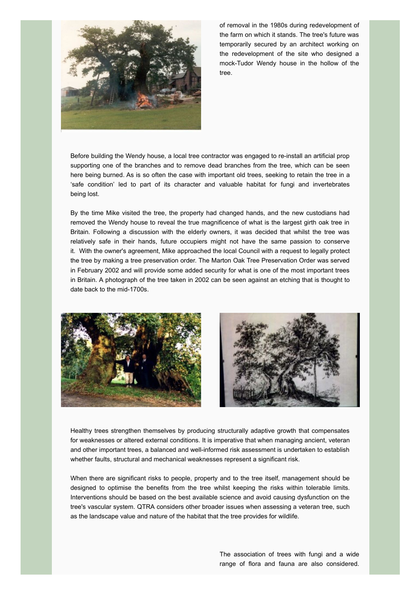

of removal in the 1980s during redevelopment of the farm on which it stands. The tree's future was temporarily secured by an architect working on the redevelopment of the site who designed a mock-Tudor Wendy house in the hollow of the tree.

Before building the Wendy house, a local tree contractor was engaged to re-install an artificial prop supporting one of the branches and to remove dead branches from the tree, which can be seen here being burned. As is so often the case with important old trees, seeking to retain the tree in a 'safe condition' led to part of its character and valuable habitat for fungi and invertebrates being lost.

By the time Mike visited the tree, the property had changed hands, and the new custodians had removed the Wendy house to reveal the true magnificence of what is the largest girth oak tree in Britain. Following a discussion with the elderly owners, it was decided that whilst the tree was relatively safe in their hands, future occupiers might not have the same passion to conserve it. With the owner's agreement, Mike approached the local Council with a request to legally protect the tree by making a tree preservation order. The Marton Oak Tree Preservation Order was served in February 2002 and will provide some added security for what is one of the most important trees in Britain. A photograph of the tree taken in 2002 can be seen against an etching that is thought to date back to the mid-1700s.





Healthy trees strengthen themselves by producing structurally adaptive growth that compensates for weaknesses or altered external conditions. It is imperative that when managing ancient, veteran and other important trees, a balanced and well-informed risk assessment is undertaken to establish whether faults, structural and mechanical weaknesses represent a significant risk.

When there are significant risks to people, property and to the tree itself, management should be designed to optimise the benefits from the tree whilst keeping the risks within tolerable limits. Interventions should be based on the best available science and avoid causing dysfunction on the tree's vascular system. QTRA considers other broader issues when assessing a veteran tree, such as the landscape value and nature of the habitat that the tree provides for wildlife.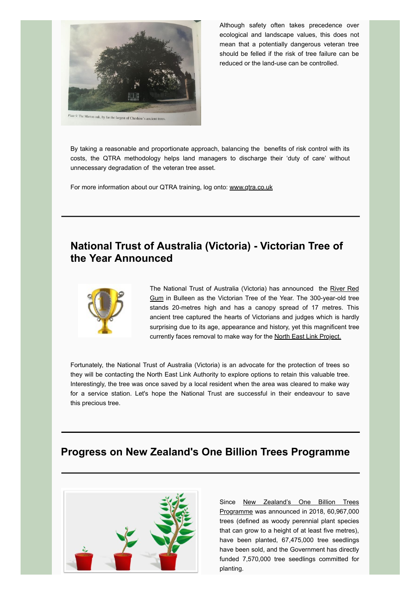

Although safety often takes precedence over ecological and landscape values, this does not mean that a potentially dangerous veteran tree should be felled if the risk of tree failure can be reduced or the land-use can be controlled.

By taking a reasonable and proportionate approach, balancing the benefits of risk control with its costs, the QTRA methodology helps land managers to discharge their 'duty of care' without unnecessary degradation of the veteran tree asset.

For more information about our QTRA training, log onto: [www.qtra.co.uk](https://www.qtra.co.uk/)

# **National Trust of Australia (Victoria) - Victorian Tree of the Year Announced**



[The National Trust of Australia \(Victoria\) has announced the River Red](https://www.nationaltrust.org.au/treeoftheyear/) Gum in Bulleen as the Victorian Tree of the Year. The 300-year-old tree stands 20-metres high and has a canopy spread of 17 metres. This ancient tree captured the hearts of Victorians and judges which is hardly surprising due to its age, appearance and history, yet this magnificent tree currently faces removal to make way for the [North East Link Project.](https://northeastlink.vic.gov.au/)

Fortunately, the National Trust of Australia (Victoria) is an advocate for the protection of trees so they will be contacting the North East Link Authority to explore options to retain this valuable tree. Interestingly, the tree was once saved by a local resident when the area was cleared to make way for a service station. Let's hope the National Trust are successful in their endeavour to save this precious tree.

## **Progress on New Zealand's One Billion Trees Programme**



[Since New Zealand's One Billion Trees](https://www.mpi.govt.nz/funding-and-programmes/forestry/planting-one-billion-trees/tracking-progress-of-the-one-billion-trees-programme/) Programme was announced in 2018, 60,967,000 trees (defined as woody perennial plant species that can grow to a height of at least five metres), have been planted, 67,475,000 tree seedlings have been sold, and the Government has directly funded 7,570,000 tree seedlings committed for planting.